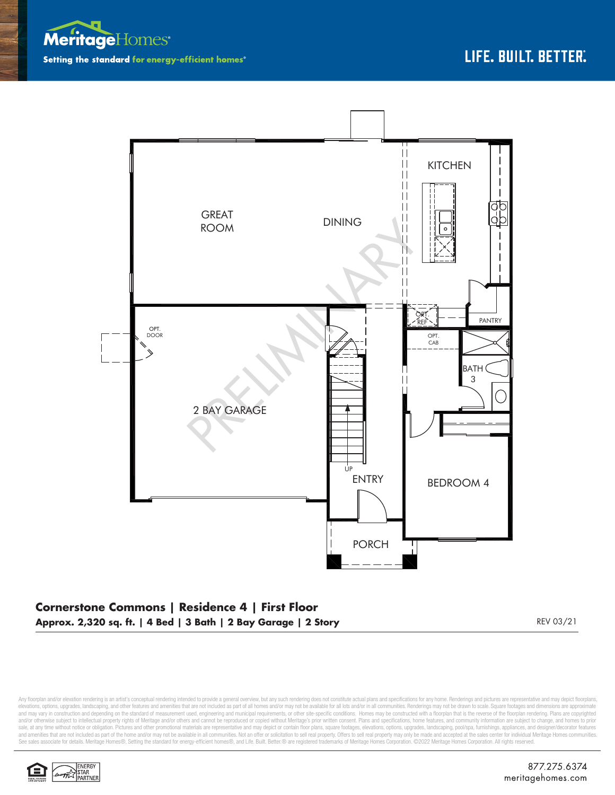



## **Cornerstone Commons | Residence 4 | First Floor Approx. 2,320 sq. ft. | 4 Bed | 3 Bath | 2 Bay Garage | 2 Story** REV 03/21

Any floorplan and/or elevation rendering is an artist's conceptual rendering intended to provide a general overview, but any such rendering does not constitute actual plans and specifications for any home. Renderings and p elevations, options, upgrades, landscaping, and other features and amenities that are not included as part of all homes and/or may not be available for all lots and/or in all communities. Renderings may not be drawn to sca and may vary in construction and depending on the standard of measurement used, engineering and municipal requirements, or other site-specific conditions. Homes may be constructed with a floorplan that is the reverse of th and/or otherwise subject to intellectual property rights of Meritage and/or others and cannot be reproduced or copied without Meritage's prior written consent. Plans and specifications, home features, and community informa sale, at any time without notice or obligation. Pictures and other promotional materials are representative and may depict or contain floor plans, square footages, elevations, options, upgrades, landscaping, pool/spa, furn See sales associate for details. Meritage Homes®, Setting the standard for energy-efficient homes®, and Life. Built. Better. @ are registered trademarks of Meritage Homes Corporation. ©2022 Meritage Homes Corporation. All